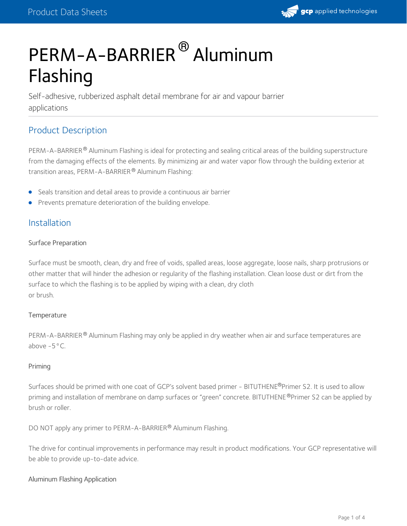# PERM-A-BARRIER® Aluminum Flashing

Self-adhesive, rubberized asphalt detail membrane for air and vapour barrier applications

### Product Description

PERM-A-BARRIER® Aluminum Flashing is ideal for protecting and sealing critical areas of the building superstructure from the damaging effects of the elements. By minimizing air and water vapor flow through the building exterior at transition areas, PERM-A-BARRIER® Aluminum Flashing:

- Seals transition and detail areas to provide a continuous air barrier
- **•** Prevents premature deterioration of the building envelope.

### Installation

#### Surface Preparation

Surface must be smooth, clean, dry and free of voids, spalled areas, loose aggregate, loose nails, sharp protrusions or other matter that will hinder the adhesion or regularity of the flashing installation. Clean loose dust or dirt from the surface to which the flashing is to be applied by wiping with a clean, dry cloth or brush.

#### **Temperature**

PERM-A-BARRIER® Aluminum Flashing may only be applied in dry weather when air and surface temperatures are above  $-5$ °C.

#### Priming

Surfaces should be primed with one coat of GCP's solvent based primer - BITUTHENE®Primer S2. It is used to allow priming and installation of membrane on damp surfaces or "green" concrete. BITUTHENE®Primer S2 can be applied by brush or roller.

DO NOT apply any primer to PERM-A-BARRIER® Aluminum Flashing.

The drive for continual improvements in performance may result in product modifications. Your GCP representative will be able to provide up-to-date advice.

#### Aluminum Flashing Application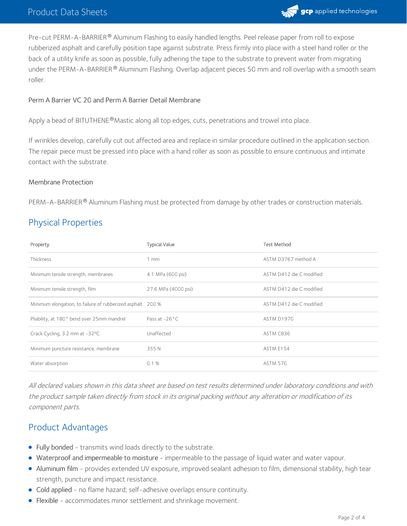

Pre-cut PERM-A-BARRIER® Aluminum Flashing to easily handled lengths. Peel release paper from roll to expose rubberized asphalt and carefully position tape against substrate. Press firmly into place with a steel hand roller or the back of a utility knife as soon as possible, fully adhering the tape to the substrate to prevent water from migrating under the PERM-A-BARRIER $^\circledR$  Aluminum Flashing. Overlap adjacent pieces 50 mm and roll overlap with a smooth seam roller.

#### Perm ABarrier VC 20 and Perm ABarrier Detail Membrane

Apply a bead of BITUTHENE®Mastic along all top edges, cuts, penetrations and trowel into place.

If wrinkles develop, carefully cut out affected area and replace in similar procedure outlined in the application section. The repair piece must be pressed into place with a hand roller as soon as possible to ensure continuous and intimate contact with the substrate.

#### Membrane Protection

PERM-A-BARRIER® Aluminum Flashing must be protected from damage by other trades or construction materials.

### Physical Properties

| Property                                                   | <b>Typical Value</b>    | <b>Test Method</b>       |
|------------------------------------------------------------|-------------------------|--------------------------|
| Thickness                                                  | $1 \text{ mm}$          | ASTM D3767 method A      |
| Minimum tensile strength, membranes                        | 4.1 MPa (600 psi)       | ASTM D412 die C modified |
| Minimum tensile strength, film                             | 27.6 MPa (4000 psi)     | ASTM D412 die C modified |
| Minimum elongation, to failure of rubberized asphalt 200 % |                         | ASTM D412 die C modified |
| Pliability, at 180° bend over 25mm mandrel                 | Pass at $-26^{\circ}$ C | <b>ASTM D1970</b>        |
| Crack Cycling, 3.2 mm at -32°C                             | Unaffected              | ASTM C836                |
| Minimum puncture resistance, membrane                      | 355N                    | ASTM E154                |
| Water absorption                                           | 0.1%                    | <b>ASTM 570</b>          |

All declared values shown in this data sheet are based on test results determined under laboratory conditions and with the product sample taken directly from stock in its original packing without any alteration or modification of its component parts.

### Product Advantages

- Fully bonded transmits wind loads directly to the substrate.
- Waterproof and impermeable to moisture impermeable to the passage of liquid water and water vapour.
- Aluminum film provides extended UV exposure, improved sealant adhesion to film, dimensional stability, high tear strength, puncture and impact resistance.
- Cold applied no flame hazard; self-adhesive overlaps ensure continuity.
- Flexible accommodates minor settlement and shrinkage movement.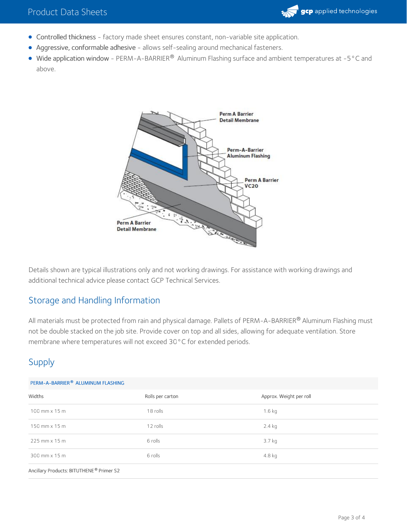

- Controlled thickness factory made sheet ensures constant, non-variable site application.
- Aggressive, conformable adhesive allows self-sealing around mechanical fasteners.
- Wide application window PERM-A-BARRIER® Aluminum Flashing surface and ambient temperatures at -5 °C and above.



Details shown are typical illustrations only and not working drawings. For assistance with working drawings and additional technical advice please contact GCP Technical Services.

### Storage and Handling Information

All materials must be protected from rain and physical damage. Pallets of PERM-A-BARRIER® Aluminum Flashing must not be double stacked on the job site. Provide cover on top and all sides, allowing for adequate ventilation. Store membrane where temperatures will not exceed 30°C for extended periods.

## Supply

| PERM-A-BARRIER® ALUMINUM FLASHING |  |
|-----------------------------------|--|
|                                   |  |

| Widths                                               | Rolls per carton | Approx. Weight per roll |  |
|------------------------------------------------------|------------------|-------------------------|--|
| $100$ mm $\times$ 15 m                               | 18 rolls         | $1.6$ kg                |  |
| $150$ mm $\times$ 15 m                               | 12 rolls         | $2.4$ kg                |  |
| $225$ mm $\times$ 15 m                               | 6 rolls          | $3.7$ kg                |  |
| $300$ mm $\times$ 15 m                               | 6 rolls          | 4.8 kg                  |  |
| Ancillary Products: BITUTHENE <sup>®</sup> Primer S2 |                  |                         |  |